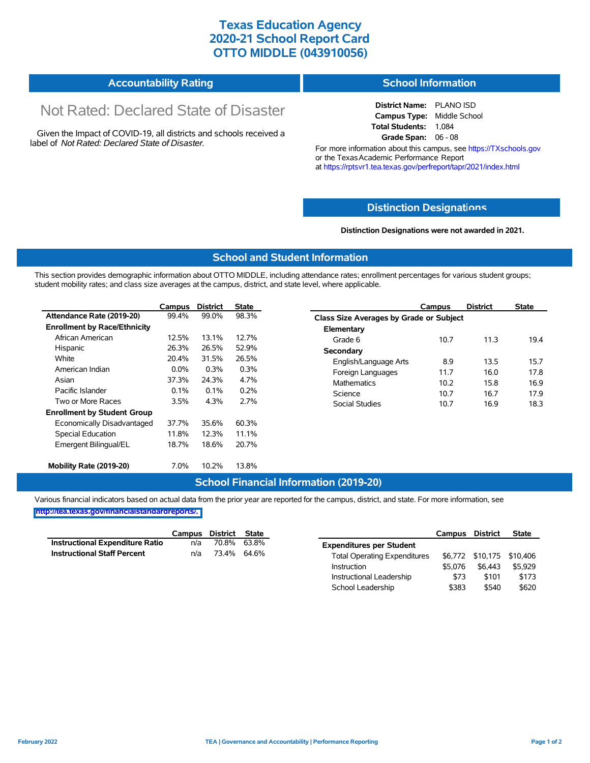# **Texas Education Agency 2020-21 School Report Card OTTO MIDDLE (043910056)**

#### **Accountability Rating School Information**

# Not Rated: Declared State of Disaster

Given the Impact of COVID-19, all districts and schools received a label of *Not Rated: Declared State of Disaster.*

**District Name:** PLANO ISD **Campus Type:** Middle School **Total Students:** 1,084 **Grade Span:** 06 - 08

For more information about this campus, see https://TXschools.gov or the Texas Academic Performance Report at https://rptsvr1.tea.texas.gov/perfreport/tapr/2021/index.html

#### **Distinction Designat[ions](https://TXschools.gov)**

**Distinction Designations were not awarded in 2021.**

School Leadership  $$383$  \$540 \$620

#### **School and Student Information**

This section provides demographic information about OTTO MIDDLE, including attendance rates; enrollment percentages for various student groups; student mobility rates; and class size averages at the campus, district, and state level, where applicable.

|                                     | Campus                                       | <b>District</b>           | <b>State</b> | Campus                       | <b>District</b>                         | <b>State</b> |  |  |  |  |
|-------------------------------------|----------------------------------------------|---------------------------|--------------|------------------------------|-----------------------------------------|--------------|--|--|--|--|
| Attendance Rate (2019-20)           | 99.4%                                        | 99.0%                     | 98.3%        |                              | Class Size Averages by Grade or Subject |              |  |  |  |  |
| <b>Enrollment by Race/Ethnicity</b> |                                              |                           |              | Elementary                   |                                         |              |  |  |  |  |
| African American                    | 12.5%                                        | 13.1%                     | 12.7%        | 10.7<br>Grade 6              | 11.3                                    | 19.4         |  |  |  |  |
| Hispanic                            | 26.3%                                        | 26.5%                     | 52.9%        | Secondary                    |                                         |              |  |  |  |  |
| White                               | 20.4%                                        | 31.5%                     | 26.5%        | 8.9<br>English/Language Arts | 13.5                                    | 15.7         |  |  |  |  |
| American Indian                     | $0.0\%$<br>0.3%<br>0.3%                      | Foreign Languages<br>11.7 | 16.0         | 17.8                         |                                         |              |  |  |  |  |
| Asian                               | 37.3%<br>4.7%<br>24.3%<br><b>Mathematics</b> |                           |              | 10.2                         | 15.8                                    | 16.9         |  |  |  |  |
| Pacific Islander                    | 0.1%                                         | 0.1%                      | 0.2%         | Science<br>10.7              | 16.7                                    | 17.9         |  |  |  |  |
| Two or More Races                   | $3.5\%$                                      | 4.3%                      | 2.7%         | 10.7<br>Social Studies       | 16.9                                    | 18.3         |  |  |  |  |
| <b>Enrollment by Student Group</b>  |                                              |                           |              |                              |                                         |              |  |  |  |  |
| Economically Disadvantaged          | 37.7%                                        | 35.6%                     | 60.3%        |                              |                                         |              |  |  |  |  |
| Special Education                   | 11.8%                                        | 12.3%                     | 11.1%        |                              |                                         |              |  |  |  |  |
| Emergent Bilingual/EL               | 18.7%                                        | 18.6%                     | 20.7%        |                              |                                         |              |  |  |  |  |
| Mobility Rate (2019-20)             | 7.0%                                         | 10.2%                     | 13.8%        |                              |                                         |              |  |  |  |  |

### **School Financial Information (2019-20)**

Various financial indicators based on actual data from the prior year are reported for the campus, district, and state. For more information, see

**[http://tea.texas.gov/financialstandardreports/.](http://tea.texas.gov/financialstandardreports/)**

|                                        | Campus | District | State |                                     | Campus  | <b>District</b> | <b>State</b>              |
|----------------------------------------|--------|----------|-------|-------------------------------------|---------|-----------------|---------------------------|
| <b>Instructional Expenditure Ratio</b> | n/a    | 70.8%    | 63.8% | <b>Expenditures per Student</b>     |         |                 |                           |
| <b>Instructional Staff Percent</b>     | n/a    | 73.4%    | 64.6% | <b>Total Operating Expenditures</b> |         |                 | \$6,772 \$10,175 \$10,406 |
|                                        |        |          |       | Instruction                         | \$5.076 | \$6.443         | \$5.929                   |
|                                        |        |          |       | Instructional Leadership            | \$73    | \$101           | \$173                     |